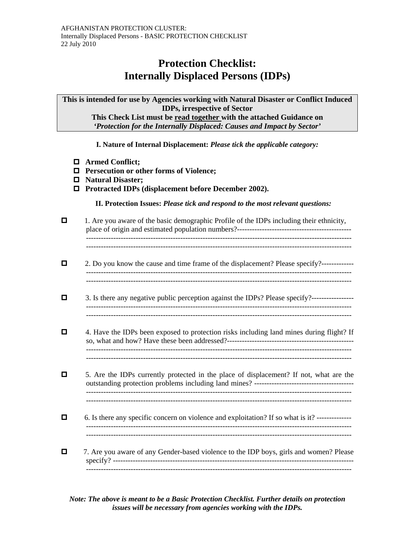## **Protection Checklist: Internally Displaced Persons (IDPs)**

**This is intended for use by Agencies working with Natural Disaster or Conflict Induced IDPs, irrespective of Sector This Check List must be read together with the attached Guidance on**  *'Protection for the Internally Displaced: Causes and Impact by Sector'*

**I. Nature of Internal Displacement:** *Please tick the applicable category:* 

- **Armed Conflict;**
- **Persecution or other forms of Violence;**
- **Natural Disaster;**
- **Protracted IDPs (displacement before December 2002).**

**II. Protection Issues:** *Please tick and respond to the most relevant questions:* 

| 1. Are you aware of the basic demographic Profile of the IDPs including their ethnicity,        |
|-------------------------------------------------------------------------------------------------|
| 2. Do you know the cause and time frame of the displacement? Please specify?------------        |
| 3. Is there any negative public perception against the IDPs? Please specify?-----------------   |
| 4. Have the IDPs been exposed to protection risks including land mines during flight? If        |
| 5. Are the IDPs currently protected in the place of displacement? If not, what are the          |
| 6. Is there any specific concern on violence and exploitation? If so what is it? -------------- |
| 7. Are you aware of any Gender-based violence to the IDP boys, girls and women? Please          |

*Note: The above is meant to be a Basic Protection Checklist. Further details on protection issues will be necessary from agencies working with the IDPs.*